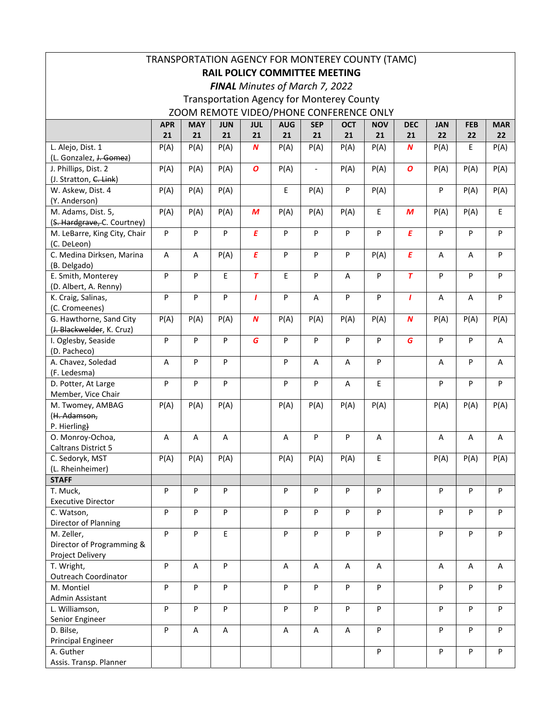| TRANSPORTATION AGENCY FOR MONTEREY COUNTY (TAMC) |            |            |            |                  |                                |                          |                                                  |            |                  |            |            |            |
|--------------------------------------------------|------------|------------|------------|------------------|--------------------------------|--------------------------|--------------------------------------------------|------------|------------------|------------|------------|------------|
| <b>RAIL POLICY COMMITTEE MEETING</b>             |            |            |            |                  |                                |                          |                                                  |            |                  |            |            |            |
|                                                  |            |            |            |                  | FINAL Minutes of March 7, 2022 |                          |                                                  |            |                  |            |            |            |
|                                                  |            |            |            |                  |                                |                          | <b>Transportation Agency for Monterey County</b> |            |                  |            |            |            |
|                                                  |            |            |            |                  |                                |                          | ZOOM REMOTE VIDEO/PHONE CONFERENCE ONLY          |            |                  |            |            |            |
|                                                  | <b>APR</b> | <b>MAY</b> | <b>JUN</b> | <b>JUL</b>       | <b>AUG</b>                     | <b>SEP</b>               | <b>OCT</b>                                       | <b>NOV</b> | <b>DEC</b>       | <b>JAN</b> | <b>FEB</b> | <b>MAR</b> |
|                                                  | 21         | 21         | 21         | 21               | 21                             | 21                       | 21                                               | 21         | 21               | 22         | 22         | 22         |
| L. Alejo, Dist. 1                                | P(A)       | P(A)       | P(A)       | $\boldsymbol{N}$ | P(A)                           | P(A)                     | P(A)                                             | P(A)       | N                | P(A)       | E          | P(A)       |
| (L. Gonzalez, J. Gomez)                          |            |            |            |                  |                                |                          |                                                  |            |                  |            |            |            |
| J. Phillips, Dist. 2                             | P(A)       | P(A)       | P(A)       | $\boldsymbol{o}$ | P(A)                           | $\overline{\phantom{a}}$ | P(A)                                             | P(A)       | $\boldsymbol{o}$ | P(A)       | P(A)       | P(A)       |
| (J. Stratton, C. Link)                           |            |            |            |                  |                                |                          |                                                  |            |                  |            |            |            |
| W. Askew, Dist. 4                                | P(A)       | P(A)       | P(A)       |                  | $\mathsf E$                    | P(A)                     | P                                                | P(A)       |                  | P          | P(A)       | P(A)       |
| (Y. Anderson)                                    |            |            |            |                  |                                |                          |                                                  |            |                  |            |            |            |
| M. Adams, Dist. 5,                               | P(A)       | P(A)       | P(A)       | M                | P(A)                           | P(A)                     | P(A)                                             | E          | M                | P(A)       | P(A)       | E          |
| (S. Hardgrave, C. Courtney)                      |            |            |            | $\overline{E}$   |                                |                          |                                                  |            | $\overline{E}$   |            |            |            |
| M. LeBarre, King City, Chair                     | P          | P          | P          |                  | P                              | P                        | P                                                | P          |                  | P          | P          | P          |
| (C. DeLeon)<br>C. Medina Dirksen, Marina         | A          | A          | P(A)       | $\pmb{E}$        | P                              | P                        | P                                                | P(A)       | $\pmb{E}$        | A          | A          | P          |
| (B. Delgado)                                     |            |            |            |                  |                                |                          |                                                  |            |                  |            |            |            |
| E. Smith, Monterey                               | P          | P          | E          | $\overline{r}$   | E.                             | P                        | A                                                | P          | $\overline{T}$   | P          | P          | P          |
| (D. Albert, A. Renny)                            |            |            |            |                  |                                |                          |                                                  |            |                  |            |            |            |
| K. Craig, Salinas,                               | P          | P          | P          | $\mathbf{I}$     | P                              | A                        | P                                                | P          | $\mathbf{I}$     | A          | A          | P          |
| (C. Cromeenes)                                   |            |            |            |                  |                                |                          |                                                  |            |                  |            |            |            |
| G. Hawthorne, Sand City                          | P(A)       | P(A)       | P(A)       | $\boldsymbol{N}$ | P(A)                           | P(A)                     | P(A)                                             | P(A)       | $\boldsymbol{N}$ | P(A)       | P(A)       | P(A)       |
| (J. Blackwelder, K. Cruz)                        |            |            |            |                  |                                |                          |                                                  |            |                  |            |            |            |
| I. Oglesby, Seaside                              | P          | P          | P          | G                | P                              | P                        | P                                                | P          | G                | P          | P          | A          |
| (D. Pacheco)                                     |            |            |            |                  |                                |                          |                                                  |            |                  |            |            |            |
| A. Chavez, Soledad                               | A          | P          | P          |                  | P                              | A                        | Α                                                | P          |                  | A          | P          | Α          |
| (F. Ledesma)                                     |            |            |            |                  |                                |                          |                                                  |            |                  |            |            |            |
| D. Potter, At Large                              | P          | P          | P          |                  | P                              | P                        | A                                                | E          |                  | P          | P          | P          |
| Member, Vice Chair                               |            |            |            |                  |                                |                          |                                                  |            |                  |            |            |            |
| M. Twomey, AMBAG                                 | P(A)       | P(A)       | P(A)       |                  | P(A)                           | P(A)                     | P(A)                                             | P(A)       |                  | P(A)       | P(A)       | P(A)       |
| (H. Adamson,<br>P. Hierling)                     |            |            |            |                  |                                |                          |                                                  |            |                  |            |            |            |
| O. Monroy-Ochoa,                                 | Α          | Α          | Α          |                  | Α                              | P                        | P                                                | A          |                  | Α          | Α          | Α          |
| Caltrans District 5                              |            |            |            |                  |                                |                          |                                                  |            |                  |            |            |            |
| C. Sedoryk, MST                                  | P(A)       | P(A)       | P(A)       |                  | P(A)                           | P(A)                     | P(A)                                             | Е          |                  | P(A)       | P(A)       | P(A)       |
| (L. Rheinheimer)                                 |            |            |            |                  |                                |                          |                                                  |            |                  |            |            |            |
| <b>STAFF</b>                                     |            |            |            |                  |                                |                          |                                                  |            |                  |            |            |            |
| T. Muck,                                         | P          | P          | P          |                  | P                              | P                        | P                                                | P          |                  | P          | P          | P          |
| <b>Executive Director</b>                        |            |            |            |                  |                                |                          |                                                  |            |                  |            |            |            |
| C. Watson,                                       | P          | P          | P          |                  | P                              | P                        | P                                                | P          |                  | P          | P          | P          |
| Director of Planning                             |            |            |            |                  |                                |                          |                                                  |            |                  |            |            |            |
| M. Zeller,                                       | P          | P          | E          |                  | ${\sf P}$                      | P                        | P                                                | P          |                  | P          | P          | P          |
| Director of Programming &                        |            |            |            |                  |                                |                          |                                                  |            |                  |            |            |            |
| Project Delivery                                 | P          |            | P          |                  |                                |                          |                                                  |            |                  |            |            |            |
| T. Wright,<br>Outreach Coordinator               |            | A          |            |                  | A                              | A                        | A                                                | A          |                  | Α          | Α          | Α          |
| M. Montiel                                       | P          | P          | P          |                  | P                              | P                        | P                                                | P          |                  | P          | P          | P          |
| Admin Assistant                                  |            |            |            |                  |                                |                          |                                                  |            |                  |            |            |            |
| L. Williamson,                                   | P          | P          | P          |                  | ${\sf P}$                      | P                        | P                                                | P          |                  | P          | P          | P          |
| Senior Engineer                                  |            |            |            |                  |                                |                          |                                                  |            |                  |            |            |            |
| D. Bilse,                                        | P          | A          | A          |                  | $\mathsf A$                    | A                        | A                                                | P          |                  | P          | P          | P          |
| <b>Principal Engineer</b>                        |            |            |            |                  |                                |                          |                                                  |            |                  |            |            |            |
| A. Guther                                        |            |            |            |                  |                                |                          |                                                  | P          |                  | P          | P          | P          |
| Assis. Transp. Planner                           |            |            |            |                  |                                |                          |                                                  |            |                  |            |            |            |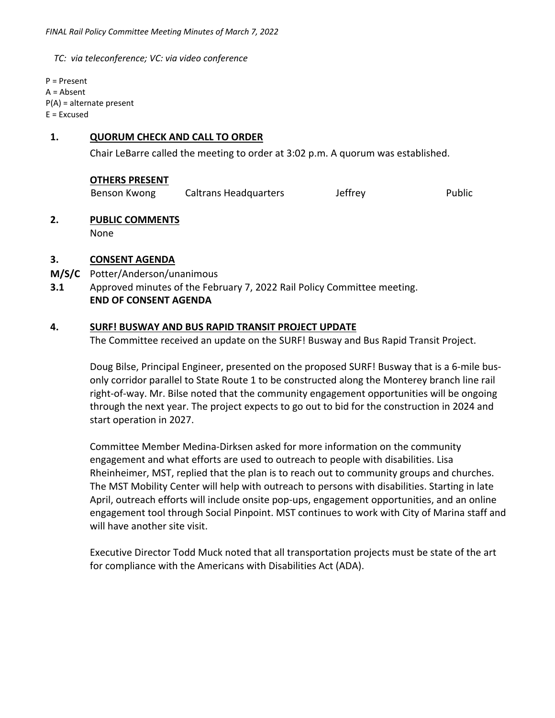*TC: via teleconference; VC: via video conference* 

P = Present A = Absent P(A) = alternate present E = Excused

# **1. QUORUM CHECK AND CALL TO ORDER**

Chair LeBarre called the meeting to order at 3:02 p.m. A quorum was established.

#### **OTHERS PRESENT**

Benson Kwong Caltrans Headquarters Jeffrey The Public

### **2. PUBLIC COMMENTS**

None

### **3. CONSENT AGENDA**

- **M/S/C**  Potter/Anderson/unanimous
- **3.1**  Approved minutes of the February 7, 2022 Rail Policy Committee meeting.  **END OF CONSENT AGENDA**

### **4. SURF! BUSWAY AND BUS RAPID TRANSIT PROJECT UPDATE**

The Committee received an update on the SURF! Busway and Bus Rapid Transit Project.

Doug Bilse, Principal Engineer, presented on the proposed SURF! Busway that is a 6‐mile bus‐ only corridor parallel to State Route 1 to be constructed along the Monterey branch line rail right-of-way. Mr. Bilse noted that the community engagement opportunities will be ongoing through the next year. The project expects to go out to bid for the construction in 2024 and start operation in 2027.

Committee Member Medina‐Dirksen asked for more information on the community engagement and what efforts are used to outreach to people with disabilities. Lisa Rheinheimer, MST, replied that the plan is to reach out to community groups and churches. The MST Mobility Center will help with outreach to persons with disabilities. Starting in late April, outreach efforts will include onsite pop‐ups, engagement opportunities, and an online engagement tool through Social Pinpoint. MST continues to work with City of Marina staff and will have another site visit.

Executive Director Todd Muck noted that all transportation projects must be state of the art for compliance with the Americans with Disabilities Act (ADA).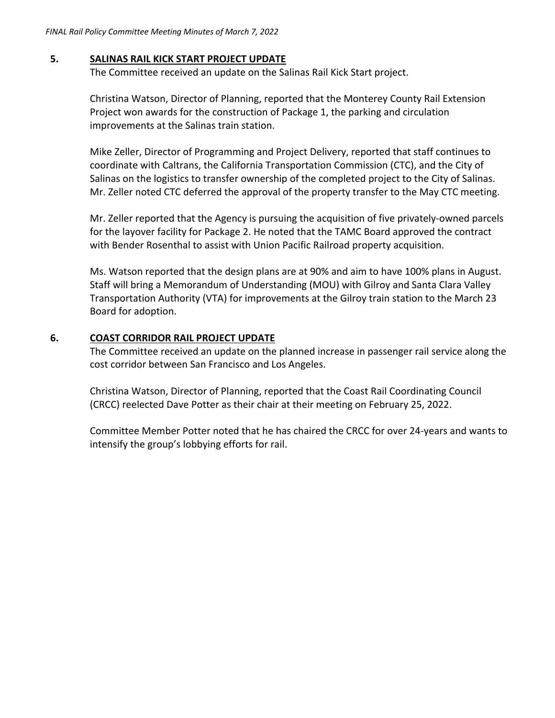# **5. SALINAS RAIL KICK START PROJECT UPDATE**

The Committee received an update on the Salinas Rail Kick Start project.

Christina Watson, Director of Planning, reported that the Monterey County Rail Extension Project won awards for the construction of Package 1, the parking and circulation improvements at the Salinas train station.

Mike Zeller, Director of Programming and Project Delivery, reported that staff continues to coordinate with Caltrans, the California Transportation Commission (CTC), and the City of Salinas on the logistics to transfer ownership of the completed project to the City of Salinas. Mr. Zeller noted CTC deferred the approval of the property transfer to the May CTC meeting.

Mr. Zeller reported that the Agency is pursuing the acquisition of five privately‐owned parcels for the layover facility for Package 2. He noted that the TAMC Board approved the contract with Bender Rosenthal to assist with Union Pacific Railroad property acquisition.

Ms. Watson reported that the design plans are at 90% and aim to have 100% plans in August. Staff will bring a Memorandum of Understanding (MOU) with Gilroy and Santa Clara Valley Transportation Authority (VTA) for improvements at the Gilroy train station to the March 23 Board for adoption.

# **6. COAST CORRIDOR RAIL PROJECT UPDATE**

The Committee received an update on the planned increase in passenger rail service along the cost corridor between San Francisco and Los Angeles.

Christina Watson, Director of Planning, reported that the Coast Rail Coordinating Council (CRCC) reelected Dave Potter as their chair at their meeting on February 25, 2022.

Committee Member Potter noted that he has chaired the CRCC for over 24‐years and wants to intensify the group's lobbying efforts for rail.